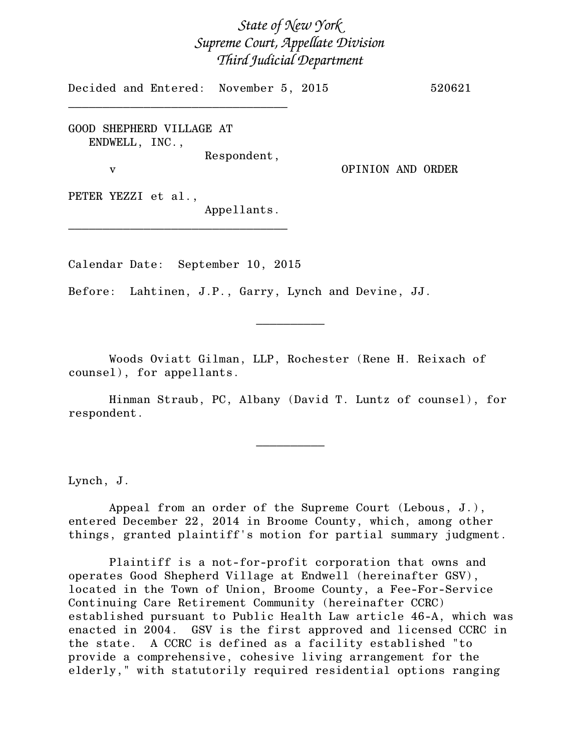# *State of New York Supreme Court, Appellate Division Third Judicial Department*

Decided and Entered: November 5, 2015 520621

GOOD SHEPHERD VILLAGE AT ENDWELL, INC., Respondent,

\_\_\_\_\_\_\_\_\_\_\_\_\_\_\_\_\_\_\_\_\_\_\_\_\_\_\_\_\_\_\_\_

v OPINION AND ORDER

PETER YEZZI et al.,

Appellants.

Calendar Date: September 10, 2015

\_\_\_\_\_\_\_\_\_\_\_\_\_\_\_\_\_\_\_\_\_\_\_\_\_\_\_\_\_\_\_\_

Before: Lahtinen, J.P., Garry, Lynch and Devine, JJ.

Woods Oviatt Gilman, LLP, Rochester (Rene H. Reixach of counsel), for appellants.

Hinman Straub, PC, Albany (David T. Luntz of counsel), for respondent.

 $\overline{\phantom{a}}$   $\overline{\phantom{a}}$   $\overline{\phantom{a}}$   $\overline{\phantom{a}}$   $\overline{\phantom{a}}$   $\overline{\phantom{a}}$   $\overline{\phantom{a}}$   $\overline{\phantom{a}}$   $\overline{\phantom{a}}$   $\overline{\phantom{a}}$   $\overline{\phantom{a}}$   $\overline{\phantom{a}}$   $\overline{\phantom{a}}$   $\overline{\phantom{a}}$   $\overline{\phantom{a}}$   $\overline{\phantom{a}}$   $\overline{\phantom{a}}$   $\overline{\phantom{a}}$   $\overline{\$ 

 $\frac{1}{2}$ 

Lynch, J.

Appeal from an order of the Supreme Court (Lebous, J.), entered December 22, 2014 in Broome County, which, among other things, granted plaintiff's motion for partial summary judgment.

Plaintiff is a not-for-profit corporation that owns and operates Good Shepherd Village at Endwell (hereinafter GSV), located in the Town of Union, Broome County, a Fee-For-Service Continuing Care Retirement Community (hereinafter CCRC) established pursuant to Public Health Law article 46-A, which was enacted in 2004. GSV is the first approved and licensed CCRC in the state. A CCRC is defined as a facility established "to provide a comprehensive, cohesive living arrangement for the elderly," with statutorily required residential options ranging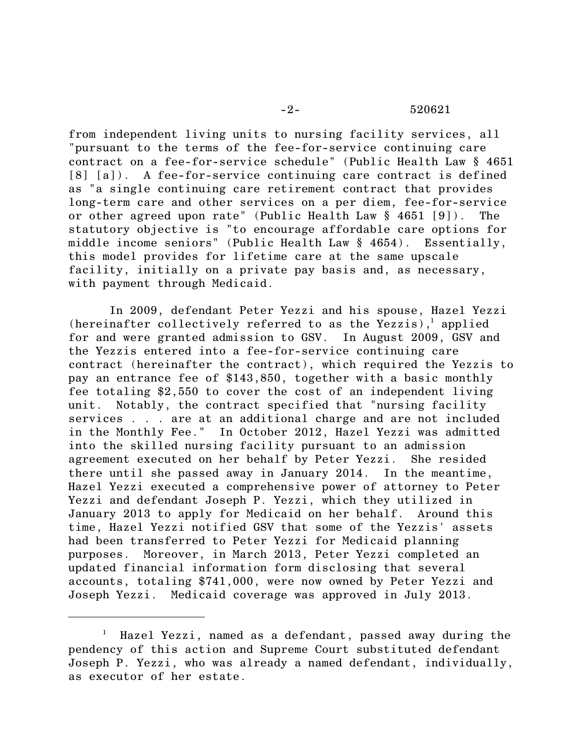from independent living units to nursing facility services, all "pursuant to the terms of the fee-for-service continuing care contract on a fee-for-service schedule" (Public Health Law § 4651 [8] [a]). A fee-for-service continuing care contract is defined as "a single continuing care retirement contract that provides long-term care and other services on a per diem, fee-for-service or other agreed upon rate" (Public Health Law § 4651 [9]). The statutory objective is "to encourage affordable care options for middle income seniors" (Public Health Law § 4654). Essentially, this model provides for lifetime care at the same upscale facility, initially on a private pay basis and, as necessary, with payment through Medicaid.

In 2009, defendant Peter Yezzi and his spouse, Hazel Yezzi (hereinafter collectively referred to as the Yezzis), applied for and were granted admission to GSV. In August 2009, GSV and the Yezzis entered into a fee-for-service continuing care contract (hereinafter the contract), which required the Yezzis to pay an entrance fee of \$143,850, together with a basic monthly fee totaling \$2,550 to cover the cost of an independent living unit. Notably, the contract specified that "nursing facility services . . . are at an additional charge and are not included in the Monthly Fee." In October 2012, Hazel Yezzi was admitted into the skilled nursing facility pursuant to an admission agreement executed on her behalf by Peter Yezzi. She resided there until she passed away in January 2014. In the meantime, Hazel Yezzi executed a comprehensive power of attorney to Peter Yezzi and defendant Joseph P. Yezzi, which they utilized in January 2013 to apply for Medicaid on her behalf. Around this time, Hazel Yezzi notified GSV that some of the Yezzis' assets had been transferred to Peter Yezzi for Medicaid planning purposes. Moreover, in March 2013, Peter Yezzi completed an updated financial information form disclosing that several accounts, totaling \$741,000, were now owned by Peter Yezzi and Joseph Yezzi. Medicaid coverage was approved in July 2013.

<sup>1</sup> Hazel Yezzi, named as a defendant, passed away during the pendency of this action and Supreme Court substituted defendant Joseph P. Yezzi, who was already a named defendant, individually, as executor of her estate.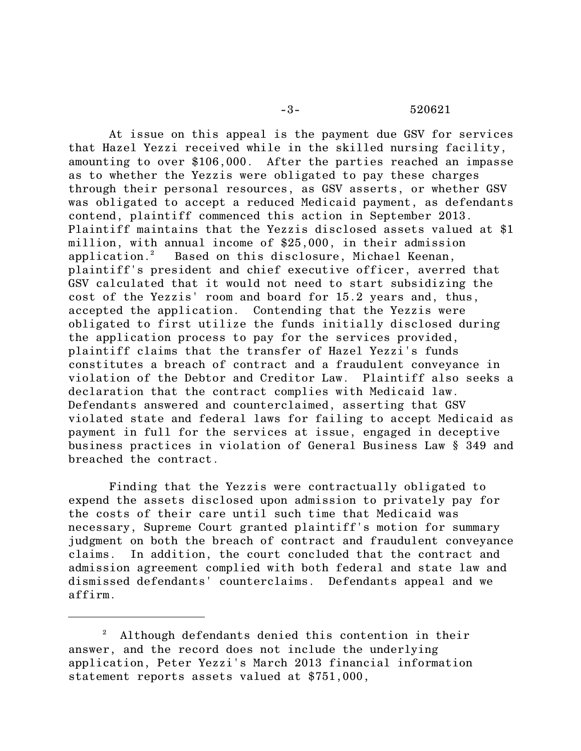#### -3- 520621

At issue on this appeal is the payment due GSV for services that Hazel Yezzi received while in the skilled nursing facility, amounting to over \$106,000. After the parties reached an impasse as to whether the Yezzis were obligated to pay these charges through their personal resources, as GSV asserts, or whether GSV was obligated to accept a reduced Medicaid payment, as defendants contend, plaintiff commenced this action in September 2013. Plaintiff maintains that the Yezzis disclosed assets valued at \$1 million, with annual income of \$25,000, in their admission application.<sup>2</sup> Based on this disclosure, Michael Keenan, plaintiff's president and chief executive officer, averred that GSV calculated that it would not need to start subsidizing the cost of the Yezzis' room and board for 15.2 years and, thus, accepted the application. Contending that the Yezzis were obligated to first utilize the funds initially disclosed during the application process to pay for the services provided, plaintiff claims that the transfer of Hazel Yezzi's funds constitutes a breach of contract and a fraudulent conveyance in violation of the Debtor and Creditor Law. Plaintiff also seeks a declaration that the contract complies with Medicaid law. Defendants answered and counterclaimed, asserting that GSV violated state and federal laws for failing to accept Medicaid as payment in full for the services at issue, engaged in deceptive business practices in violation of General Business Law § 349 and breached the contract.

Finding that the Yezzis were contractually obligated to expend the assets disclosed upon admission to privately pay for the costs of their care until such time that Medicaid was necessary, Supreme Court granted plaintiff's motion for summary judgment on both the breach of contract and fraudulent conveyance claims. In addition, the court concluded that the contract and admission agreement complied with both federal and state law and dismissed defendants' counterclaims. Defendants appeal and we affirm.

<sup>2</sup> Although defendants denied this contention in their answer, and the record does not include the underlying application, Peter Yezzi's March 2013 financial information statement reports assets valued at \$751,000,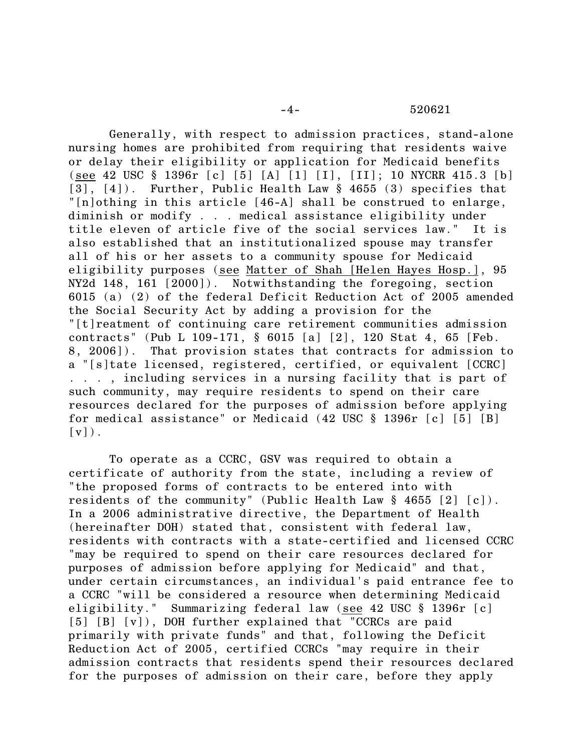Generally, with respect to admission practices, stand-alone nursing homes are prohibited from requiring that residents waive or delay their eligibility or application for Medicaid benefits (see 42 USC § 1396r [c] [5] [A] [1] [I], [II]; 10 NYCRR 415.3 [b] [3], [4]). Further, Public Health Law § 4655 (3) specifies that "[n]othing in this article [46-A] shall be construed to enlarge, diminish or modify . . . medical assistance eligibility under title eleven of article five of the social services law." It is also established that an institutionalized spouse may transfer all of his or her assets to a community spouse for Medicaid eligibility purposes (see Matter of Shah [Helen Hayes Hosp.], 95 NY2d 148, 161 [2000]). Notwithstanding the foregoing, section 6015 (a) (2) of the federal Deficit Reduction Act of 2005 amended the Social Security Act by adding a provision for the "[t]reatment of continuing care retirement communities admission contracts" (Pub L 109-171, § 6015 [a] [2], 120 Stat 4, 65 [Feb. 8, 2006]). That provision states that contracts for admission to a "[s]tate licensed, registered, certified, or equivalent [CCRC] . . . , including services in a nursing facility that is part of such community, may require residents to spend on their care resources declared for the purposes of admission before applying for medical assistance" or Medicaid (42 USC § 1396r [c] [5] [B]  $\lceil v \rceil$ ).

To operate as a CCRC, GSV was required to obtain a certificate of authority from the state, including a review of "the proposed forms of contracts to be entered into with residents of the community" (Public Health Law § 4655 [2] [c]). In a 2006 administrative directive, the Department of Health (hereinafter DOH) stated that, consistent with federal law, residents with contracts with a state-certified and licensed CCRC "may be required to spend on their care resources declared for purposes of admission before applying for Medicaid" and that, under certain circumstances, an individual's paid entrance fee to a CCRC "will be considered a resource when determining Medicaid eligibility." Summarizing federal law (see 42 USC § 1396r [c] [5] [B] [v]), DOH further explained that "CCRCs are paid primarily with private funds" and that, following the Deficit Reduction Act of 2005, certified CCRCs "may require in their admission contracts that residents spend their resources declared for the purposes of admission on their care, before they apply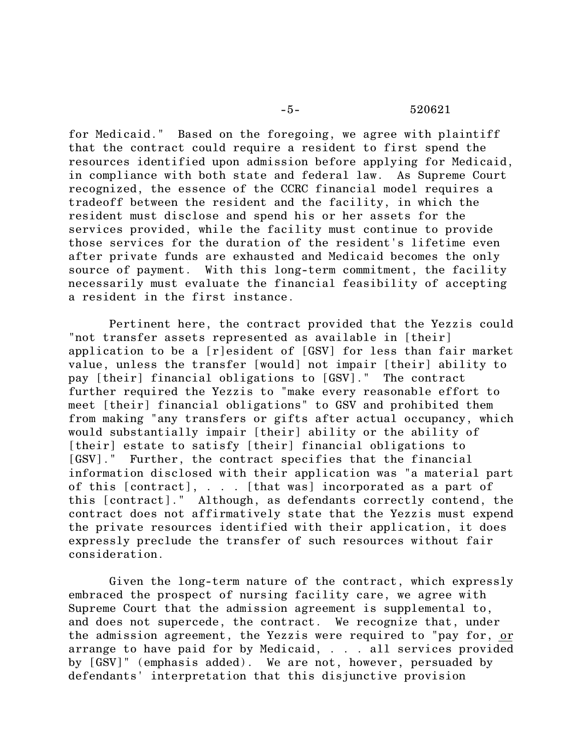#### -5- 520621

for Medicaid." Based on the foregoing, we agree with plaintiff that the contract could require a resident to first spend the resources identified upon admission before applying for Medicaid, in compliance with both state and federal law. As Supreme Court recognized, the essence of the CCRC financial model requires a tradeoff between the resident and the facility, in which the resident must disclose and spend his or her assets for the services provided, while the facility must continue to provide those services for the duration of the resident's lifetime even after private funds are exhausted and Medicaid becomes the only source of payment. With this long-term commitment, the facility necessarily must evaluate the financial feasibility of accepting a resident in the first instance.

Pertinent here, the contract provided that the Yezzis could "not transfer assets represented as available in [their] application to be a [r]esident of [GSV] for less than fair market value, unless the transfer [would] not impair [their] ability to pay [their] financial obligations to [GSV]." The contract further required the Yezzis to "make every reasonable effort to meet [their] financial obligations" to GSV and prohibited them from making "any transfers or gifts after actual occupancy, which would substantially impair [their] ability or the ability of [their] estate to satisfy [their] financial obligations to [GSV]." Further, the contract specifies that the financial information disclosed with their application was "a material part of this [contract], . . . [that was] incorporated as a part of this [contract]." Although, as defendants correctly contend, the contract does not affirmatively state that the Yezzis must expend the private resources identified with their application, it does expressly preclude the transfer of such resources without fair consideration.

Given the long-term nature of the contract, which expressly embraced the prospect of nursing facility care, we agree with Supreme Court that the admission agreement is supplemental to, and does not supercede, the contract. We recognize that, under the admission agreement, the Yezzis were required to "pay for, or arrange to have paid for by Medicaid, . . . all services provided by [GSV]" (emphasis added). We are not, however, persuaded by defendants' interpretation that this disjunctive provision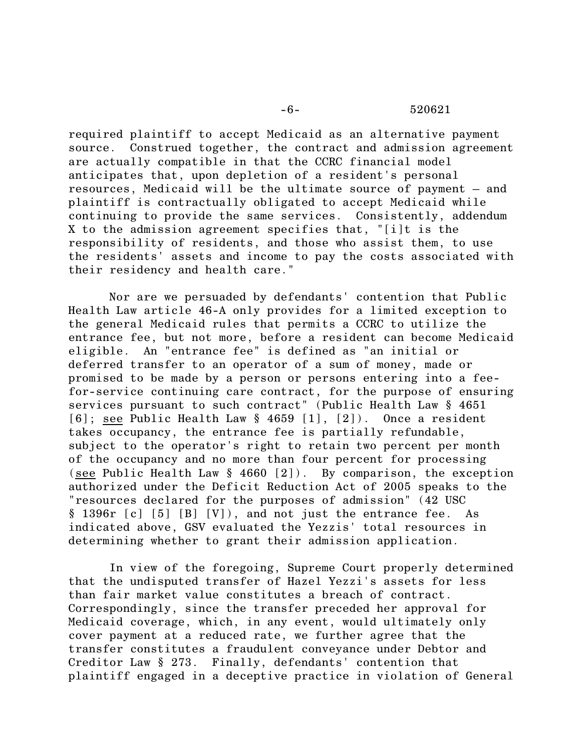### -6- 520621

required plaintiff to accept Medicaid as an alternative payment source. Construed together, the contract and admission agreement are actually compatible in that the CCRC financial model anticipates that, upon depletion of a resident's personal resources, Medicaid will be the ultimate source of payment – and plaintiff is contractually obligated to accept Medicaid while continuing to provide the same services. Consistently, addendum X to the admission agreement specifies that, "[i]t is the responsibility of residents, and those who assist them, to use the residents' assets and income to pay the costs associated with their residency and health care."

Nor are we persuaded by defendants' contention that Public Health Law article 46-A only provides for a limited exception to the general Medicaid rules that permits a CCRC to utilize the entrance fee, but not more, before a resident can become Medicaid eligible. An "entrance fee" is defined as "an initial or deferred transfer to an operator of a sum of money, made or promised to be made by a person or persons entering into a feefor-service continuing care contract, for the purpose of ensuring services pursuant to such contract" (Public Health Law § 4651 [6]; see Public Health Law § 4659 [1], [2]). Once a resident takes occupancy, the entrance fee is partially refundable, subject to the operator's right to retain two percent per month of the occupancy and no more than four percent for processing (see Public Health Law  $\S$  4660 [2]). By comparison, the exception authorized under the Deficit Reduction Act of 2005 speaks to the "resources declared for the purposes of admission" (42 USC § 1396r [c] [5] [B] [V]), and not just the entrance fee. As indicated above, GSV evaluated the Yezzis' total resources in determining whether to grant their admission application.

In view of the foregoing, Supreme Court properly determined that the undisputed transfer of Hazel Yezzi's assets for less than fair market value constitutes a breach of contract. Correspondingly, since the transfer preceded her approval for Medicaid coverage, which, in any event, would ultimately only cover payment at a reduced rate, we further agree that the transfer constitutes a fraudulent conveyance under Debtor and Creditor Law § 273. Finally, defendants' contention that plaintiff engaged in a deceptive practice in violation of General